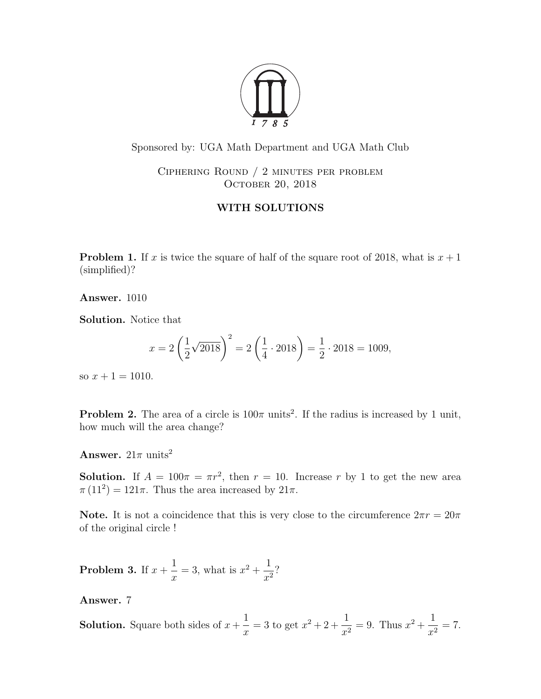

Sponsored by: UGA Math Department and UGA Math Club

Ciphering Round / 2 minutes per problem OCTOBER 20, 2018

## WITH SOLUTIONS

**Problem 1.** If x is twice the square of half of the square root of 2018, what is  $x + 1$ (simplified)?

Answer. 1010

Solution. Notice that

$$
x = 2\left(\frac{1}{2}\sqrt{2018}\right)^2 = 2\left(\frac{1}{4} \cdot 2018\right) = \frac{1}{2} \cdot 2018 = 1009,
$$

so  $x + 1 = 1010$ .

**Problem 2.** The area of a circle is  $100\pi$  units<sup>2</sup>. If the radius is increased by 1 unit, how much will the area change?

**Answer.**  $21\pi$  units<sup>2</sup>

**Solution.** If  $A = 100\pi = \pi r^2$ , then  $r = 10$ . Increase r by 1 to get the new area  $\pi(11^2) = 121\pi$ . Thus the area increased by  $21\pi$ .

Note. It is not a coincidence that this is very close to the circumference  $2\pi r = 20\pi$ of the original circle !

**Problem 3.** If  $x +$ 1  $\overline{x}$  $=$  3, what is  $x^2 + \frac{1}{x}$  $\frac{1}{x^2}$ ?

Answer. 7

**Solution.** Square both sides of  $x +$ 1  $\boldsymbol{x}$  $= 3$  to get  $x^2 + 2 + \frac{1}{x^2}$  $\frac{1}{x^2} = 9$ . Thus  $x^2 + \frac{1}{x^2}$  $\frac{1}{x^2} = 7.$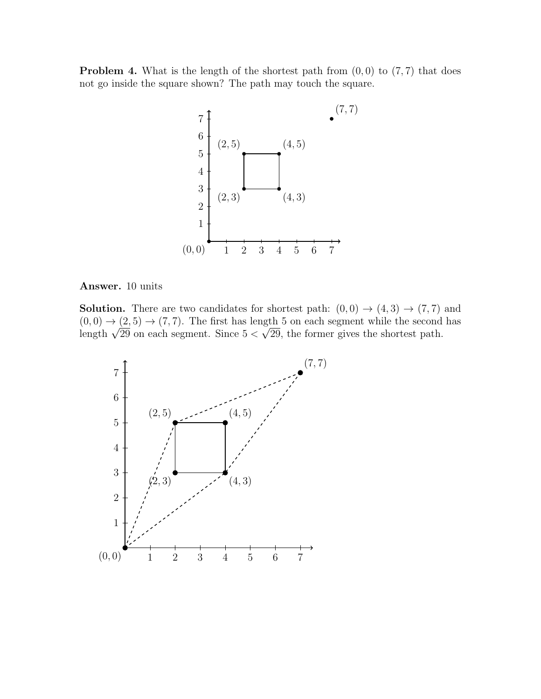**Problem 4.** What is the length of the shortest path from  $(0, 0)$  to  $(7, 7)$  that does not go inside the square shown? The path may touch the square.



## Answer. 10 units

**Solution.** There are two candidates for shortest path:  $(0,0) \rightarrow (4,3) \rightarrow (7,7)$  and  $(0,0) \rightarrow (2,5) \rightarrow (7,7)$ . The first has length 5 on each segment while the second has  $(0, 0) \rightarrow (2, 5) \rightarrow (7, 7)$ . The first has length 5 on each segment while the second length  $\sqrt{29}$  on each segment. Since  $5 < \sqrt{29}$ , the former gives the shortest path.

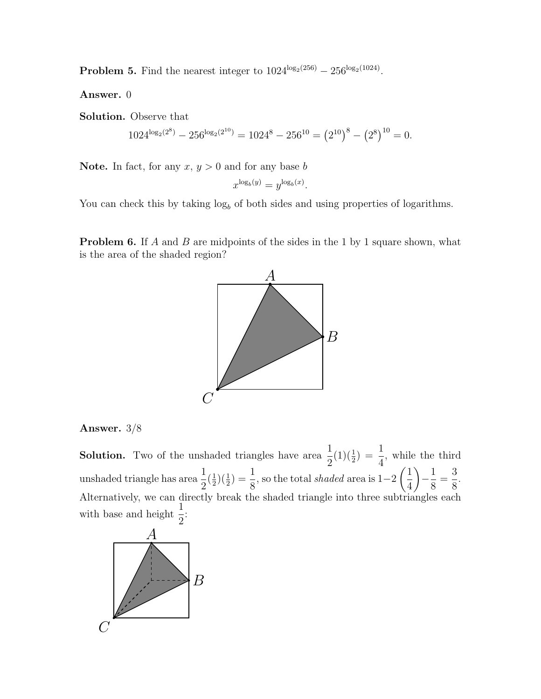**Problem 5.** Find the nearest integer to  $1024^{\log_2(256)} - 256^{\log_2(1024)}$ .

Answer. 0

Solution. Observe that

$$
1024^{\log_2(2^8)} - 256^{\log_2(2^{10})} = 1024^8 - 256^{10} = (2^{10})^8 - (2^8)^{10} = 0.
$$

**Note.** In fact, for any  $x, y > 0$  and for any base b

$$
x^{\log_b(y)} = y^{\log_b(x)}.
$$

You can check this by taking  $log_b$  of both sides and using properties of logarithms.

**Problem 6.** If A and B are midpoints of the sides in the 1 by 1 square shown, what is the area of the shaded region?





**Solution.** Two of the unshaded triangles have area  $\frac{1}{2}$ 2  $(1)(\frac{1}{2}) = \frac{1}{4}$ 4 , while the third unshaded triangle has area  $\frac{1}{2}$ 2  $\left(\frac{1}{2}\right)$  $(\frac{1}{2})(\frac{1}{2}) = \frac{1}{8}$ 8 , so the total shaded area is 1−2  $\sqrt{1}$ 4  $\setminus$  $-\frac{1}{2}$ 8 = 3 8 . Alternatively, we can directly break the shaded triangle into three subtriangles each with base and height  $\frac{1}{2}$ 2 :

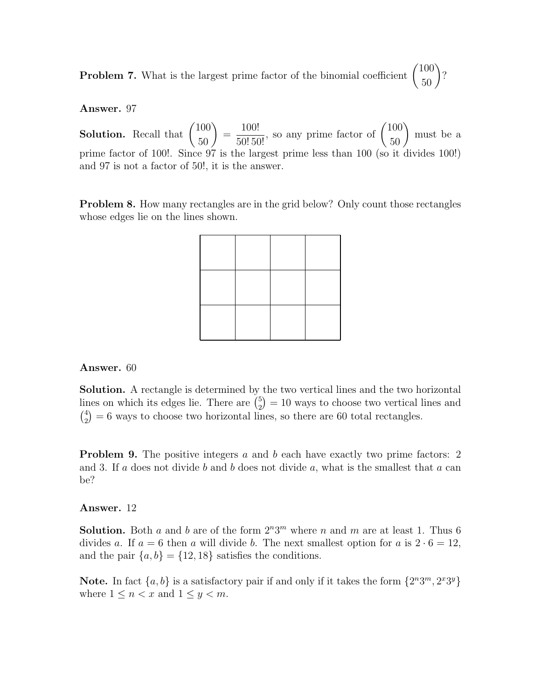**Problem 7.** What is the largest prime factor of the binomial coefficient  $\begin{pmatrix} 100 \\ 50 \end{pmatrix}$ ?

Answer. 97

**Solution.** Recall that  $\binom{100}{50}$ =  $\frac{100!}{50!50!}$ , so any prime factor of  $\binom{100}{50}$ must be a prime factor of 100!. Since 97 is the largest prime less than 100 (so it divides 100!) and 97 is not a factor of 50!, it is the answer.

**Problem 8.** How many rectangles are in the grid below? Only count those rectangles whose edges lie on the lines shown.

## Answer. 60

Solution. A rectangle is determined by the two vertical lines and the two horizontal lines on which its edges lie. There are  $\binom{5}{2}$  $\binom{5}{2} = 10$  ways to choose two vertical lines and  $\binom{4}{2}$  $\binom{4}{2}$  = 6 ways to choose two horizontal lines, so there are 60 total rectangles.

**Problem 9.** The positive integers a and b each have exactly two prime factors: 2 and 3. If a does not divide b and b does not divide a, what is the smallest that a can be?

## Answer. 12

**Solution.** Both a and b are of the form  $2^n 3^m$  where n and m are at least 1. Thus 6 divides a. If  $a = 6$  then a will divide b. The next smallest option for a is  $2 \cdot 6 = 12$ , and the pair  $\{a, b\} = \{12, 18\}$  satisfies the conditions.

Note. In fact  $\{a, b\}$  is a satisfactory pair if and only if it takes the form  $\{2^n 3^m, 2^x 3^y\}$ where  $1 \leq n < x$  and  $1 \leq y < m$ .